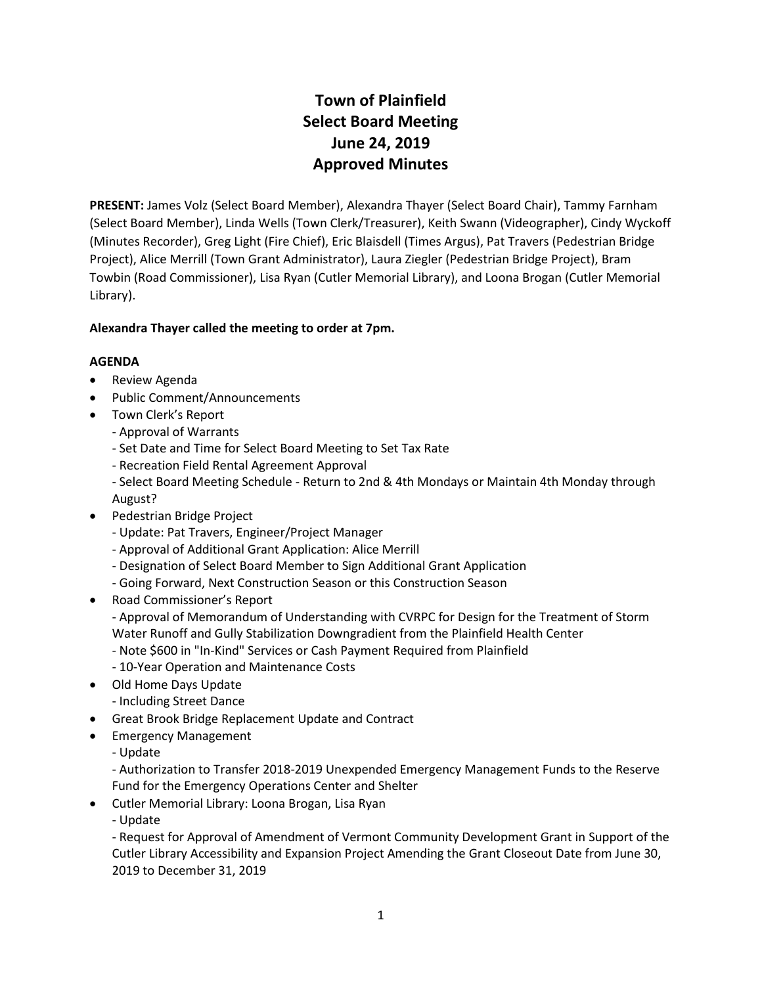## **Town of Plainfield Select Board Meeting June 24, 2019 Approved Minutes**

**PRESENT:** James Volz (Select Board Member), Alexandra Thayer (Select Board Chair), Tammy Farnham (Select Board Member), Linda Wells (Town Clerk/Treasurer), Keith Swann (Videographer), Cindy Wyckoff (Minutes Recorder), Greg Light (Fire Chief), Eric Blaisdell (Times Argus), Pat Travers (Pedestrian Bridge Project), Alice Merrill (Town Grant Administrator), Laura Ziegler (Pedestrian Bridge Project), Bram Towbin (Road Commissioner), Lisa Ryan (Cutler Memorial Library), and Loona Brogan (Cutler Memorial Library).

#### **Alexandra Thayer called the meeting to order at 7pm.**

#### **AGENDA**

- Review Agenda
- Public Comment/Announcements
- Town Clerk's Report
	- Approval of Warrants
	- Set Date and Time for Select Board Meeting to Set Tax Rate
	- Recreation Field Rental Agreement Approval
	- Select Board Meeting Schedule Return to 2nd & 4th Mondays or Maintain 4th Monday through August?
- Pedestrian Bridge Project
	- Update: Pat Travers, Engineer/Project Manager
	- Approval of Additional Grant Application: Alice Merrill
	- Designation of Select Board Member to Sign Additional Grant Application
	- Going Forward, Next Construction Season or this Construction Season
- Road Commissioner's Report
	- Approval of Memorandum of Understanding with CVRPC for Design for the Treatment of Storm Water Runoff and Gully Stabilization Downgradient from the Plainfield Health Center
	- Note \$600 in "In-Kind" Services or Cash Payment Required from Plainfield
	- 10-Year Operation and Maintenance Costs
- Old Home Days Update
	- Including Street Dance
- Great Brook Bridge Replacement Update and Contract
- **•** Emergency Management
	- Update

- Authorization to Transfer 2018-2019 Unexpended Emergency Management Funds to the Reserve Fund for the Emergency Operations Center and Shelter

- Cutler Memorial Library: Loona Brogan, Lisa Ryan
	- Update

- Request for Approval of Amendment of Vermont Community Development Grant in Support of the Cutler Library Accessibility and Expansion Project Amending the Grant Closeout Date from June 30, 2019 to December 31, 2019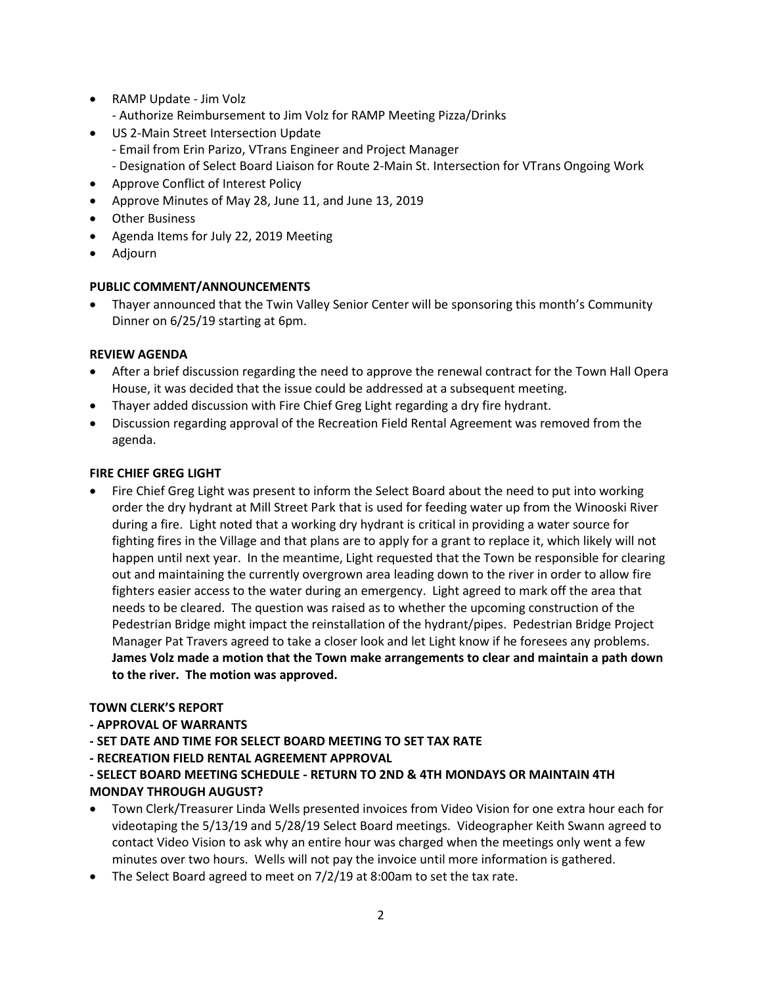- RAMP Update Jim Volz
	- Authorize Reimbursement to Jim Volz for RAMP Meeting Pizza/Drinks
- US 2-Main Street Intersection Update
	- Email from Erin Parizo, VTrans Engineer and Project Manager
		- Designation of Select Board Liaison for Route 2-Main St. Intersection for VTrans Ongoing Work
- Approve Conflict of Interest Policy
- Approve Minutes of May 28, June 11, and June 13, 2019
- Other Business
- Agenda Items for July 22, 2019 Meeting
- Adjourn

#### **PUBLIC COMMENT/ANNOUNCEMENTS**

 Thayer announced that the Twin Valley Senior Center will be sponsoring this month's Community Dinner on 6/25/19 starting at 6pm.

#### **REVIEW AGENDA**

- After a brief discussion regarding the need to approve the renewal contract for the Town Hall Opera House, it was decided that the issue could be addressed at a subsequent meeting.
- Thayer added discussion with Fire Chief Greg Light regarding a dry fire hydrant.
- Discussion regarding approval of the Recreation Field Rental Agreement was removed from the agenda.

#### **FIRE CHIEF GREG LIGHT**

 Fire Chief Greg Light was present to inform the Select Board about the need to put into working order the dry hydrant at Mill Street Park that is used for feeding water up from the Winooski River during a fire. Light noted that a working dry hydrant is critical in providing a water source for fighting fires in the Village and that plans are to apply for a grant to replace it, which likely will not happen until next year. In the meantime, Light requested that the Town be responsible for clearing out and maintaining the currently overgrown area leading down to the river in order to allow fire fighters easier access to the water during an emergency. Light agreed to mark off the area that needs to be cleared. The question was raised as to whether the upcoming construction of the Pedestrian Bridge might impact the reinstallation of the hydrant/pipes. Pedestrian Bridge Project Manager Pat Travers agreed to take a closer look and let Light know if he foresees any problems. **James Volz made a motion that the Town make arrangements to clear and maintain a path down to the river. The motion was approved.**

#### **TOWN CLERK'S REPORT**

#### **- APPROVAL OF WARRANTS**

- **- SET DATE AND TIME FOR SELECT BOARD MEETING TO SET TAX RATE**
- **- RECREATION FIELD RENTAL AGREEMENT APPROVAL**

#### **- SELECT BOARD MEETING SCHEDULE - RETURN TO 2ND & 4TH MONDAYS OR MAINTAIN 4TH MONDAY THROUGH AUGUST?**

- Town Clerk/Treasurer Linda Wells presented invoices from Video Vision for one extra hour each for videotaping the 5/13/19 and 5/28/19 Select Board meetings. Videographer Keith Swann agreed to contact Video Vision to ask why an entire hour was charged when the meetings only went a few minutes over two hours. Wells will not pay the invoice until more information is gathered.
- The Select Board agreed to meet on 7/2/19 at 8:00am to set the tax rate.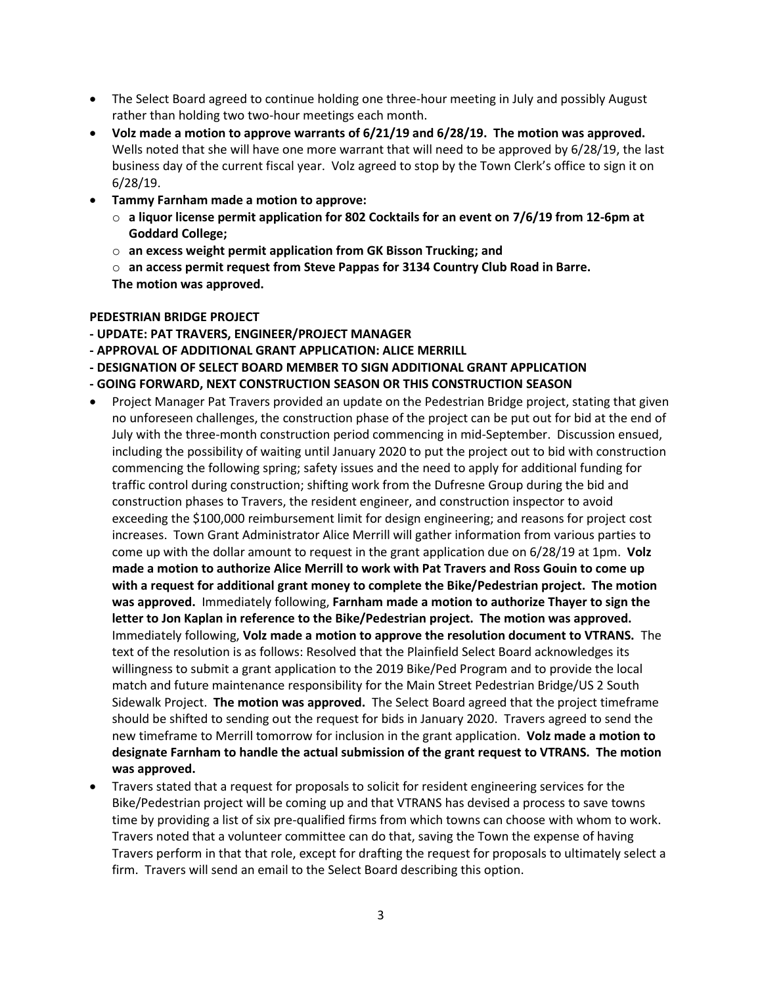- The Select Board agreed to continue holding one three-hour meeting in July and possibly August rather than holding two two-hour meetings each month.
- **Volz made a motion to approve warrants of 6/21/19 and 6/28/19. The motion was approved.** Wells noted that she will have one more warrant that will need to be approved by 6/28/19, the last business day of the current fiscal year. Volz agreed to stop by the Town Clerk's office to sign it on 6/28/19.
- **Tammy Farnham made a motion to approve:** 
	- o **a liquor license permit application for 802 Cocktails for an event on 7/6/19 from 12-6pm at Goddard College;**
	- o **an excess weight permit application from GK Bisson Trucking; and**

o **an access permit request from Steve Pappas for 3134 Country Club Road in Barre. The motion was approved.**

**PEDESTRIAN BRIDGE PROJECT - UPDATE: PAT TRAVERS, ENGINEER/PROJECT MANAGER** 

- **- APPROVAL OF ADDITIONAL GRANT APPLICATION: ALICE MERRILL**
- **- DESIGNATION OF SELECT BOARD MEMBER TO SIGN ADDITIONAL GRANT APPLICATION**
- **- GOING FORWARD, NEXT CONSTRUCTION SEASON OR THIS CONSTRUCTION SEASON**
- Project Manager Pat Travers provided an update on the Pedestrian Bridge project, stating that given no unforeseen challenges, the construction phase of the project can be put out for bid at the end of July with the three-month construction period commencing in mid-September. Discussion ensued, including the possibility of waiting until January 2020 to put the project out to bid with construction commencing the following spring; safety issues and the need to apply for additional funding for traffic control during construction; shifting work from the Dufresne Group during the bid and construction phases to Travers, the resident engineer, and construction inspector to avoid exceeding the \$100,000 reimbursement limit for design engineering; and reasons for project cost increases. Town Grant Administrator Alice Merrill will gather information from various parties to come up with the dollar amount to request in the grant application due on 6/28/19 at 1pm. **Volz made a motion to authorize Alice Merrill to work with Pat Travers and Ross Gouin to come up with a request for additional grant money to complete the Bike/Pedestrian project. The motion was approved.** Immediately following, **Farnham made a motion to authorize Thayer to sign the letter to Jon Kaplan in reference to the Bike/Pedestrian project. The motion was approved.** Immediately following, **Volz made a motion to approve the resolution document to VTRANS.** The text of the resolution is as follows: Resolved that the Plainfield Select Board acknowledges its willingness to submit a grant application to the 2019 Bike/Ped Program and to provide the local match and future maintenance responsibility for the Main Street Pedestrian Bridge/US 2 South Sidewalk Project. **The motion was approved.** The Select Board agreed that the project timeframe should be shifted to sending out the request for bids in January 2020. Travers agreed to send the new timeframe to Merrill tomorrow for inclusion in the grant application. **Volz made a motion to designate Farnham to handle the actual submission of the grant request to VTRANS. The motion was approved.**
- Travers stated that a request for proposals to solicit for resident engineering services for the Bike/Pedestrian project will be coming up and that VTRANS has devised a process to save towns time by providing a list of six pre-qualified firms from which towns can choose with whom to work. Travers noted that a volunteer committee can do that, saving the Town the expense of having Travers perform in that that role, except for drafting the request for proposals to ultimately select a firm. Travers will send an email to the Select Board describing this option.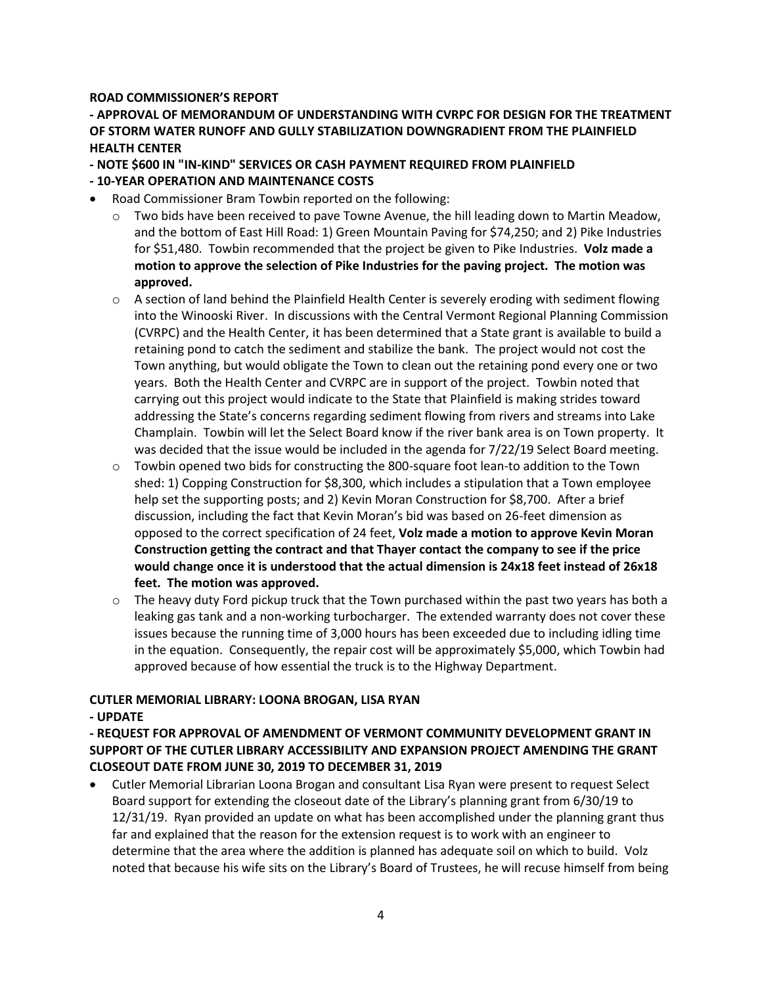#### **ROAD COMMISSIONER'S REPORT**

**- APPROVAL OF MEMORANDUM OF UNDERSTANDING WITH CVRPC FOR DESIGN FOR THE TREATMENT OF STORM WATER RUNOFF AND GULLY STABILIZATION DOWNGRADIENT FROM THE PLAINFIELD HEALTH CENTER** 

**- NOTE \$600 IN "IN-KIND" SERVICES OR CASH PAYMENT REQUIRED FROM PLAINFIELD** 

- **- 10-YEAR OPERATION AND MAINTENANCE COSTS**
- Road Commissioner Bram Towbin reported on the following:
	- $\circ$  Two bids have been received to pave Towne Avenue, the hill leading down to Martin Meadow, and the bottom of East Hill Road: 1) Green Mountain Paving for \$74,250; and 2) Pike Industries for \$51,480. Towbin recommended that the project be given to Pike Industries. **Volz made a motion to approve the selection of Pike Industries for the paving project. The motion was approved.**
	- $\circ$  A section of land behind the Plainfield Health Center is severely eroding with sediment flowing into the Winooski River. In discussions with the Central Vermont Regional Planning Commission (CVRPC) and the Health Center, it has been determined that a State grant is available to build a retaining pond to catch the sediment and stabilize the bank. The project would not cost the Town anything, but would obligate the Town to clean out the retaining pond every one or two years. Both the Health Center and CVRPC are in support of the project. Towbin noted that carrying out this project would indicate to the State that Plainfield is making strides toward addressing the State's concerns regarding sediment flowing from rivers and streams into Lake Champlain. Towbin will let the Select Board know if the river bank area is on Town property. It was decided that the issue would be included in the agenda for 7/22/19 Select Board meeting.
	- $\circ$  Towbin opened two bids for constructing the 800-square foot lean-to addition to the Town shed: 1) Copping Construction for \$8,300, which includes a stipulation that a Town employee help set the supporting posts; and 2) Kevin Moran Construction for \$8,700. After a brief discussion, including the fact that Kevin Moran's bid was based on 26-feet dimension as opposed to the correct specification of 24 feet, **Volz made a motion to approve Kevin Moran Construction getting the contract and that Thayer contact the company to see if the price would change once it is understood that the actual dimension is 24x18 feet instead of 26x18 feet. The motion was approved.**
	- $\circ$  The heavy duty Ford pickup truck that the Town purchased within the past two years has both a leaking gas tank and a non-working turbocharger. The extended warranty does not cover these issues because the running time of 3,000 hours has been exceeded due to including idling time in the equation. Consequently, the repair cost will be approximately \$5,000, which Towbin had approved because of how essential the truck is to the Highway Department.

#### **CUTLER MEMORIAL LIBRARY: LOONA BROGAN, LISA RYAN**

#### **- UPDATE**

**- REQUEST FOR APPROVAL OF AMENDMENT OF VERMONT COMMUNITY DEVELOPMENT GRANT IN SUPPORT OF THE CUTLER LIBRARY ACCESSIBILITY AND EXPANSION PROJECT AMENDING THE GRANT CLOSEOUT DATE FROM JUNE 30, 2019 TO DECEMBER 31, 2019**

 Cutler Memorial Librarian Loona Brogan and consultant Lisa Ryan were present to request Select Board support for extending the closeout date of the Library's planning grant from 6/30/19 to 12/31/19. Ryan provided an update on what has been accomplished under the planning grant thus far and explained that the reason for the extension request is to work with an engineer to determine that the area where the addition is planned has adequate soil on which to build. Volz noted that because his wife sits on the Library's Board of Trustees, he will recuse himself from being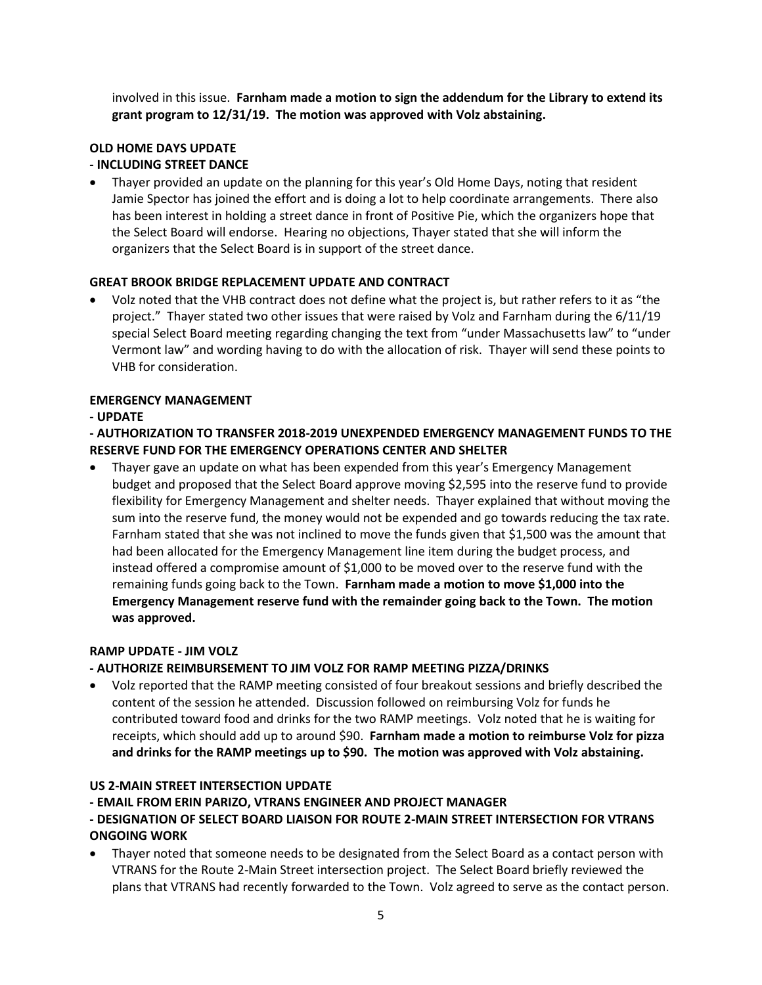involved in this issue. **Farnham made a motion to sign the addendum for the Library to extend its grant program to 12/31/19. The motion was approved with Volz abstaining.** 

# **OLD HOME DAYS UPDATE**

### **- INCLUDING STREET DANCE**

 Thayer provided an update on the planning for this year's Old Home Days, noting that resident Jamie Spector has joined the effort and is doing a lot to help coordinate arrangements. There also has been interest in holding a street dance in front of Positive Pie, which the organizers hope that the Select Board will endorse. Hearing no objections, Thayer stated that she will inform the organizers that the Select Board is in support of the street dance.

#### **GREAT BROOK BRIDGE REPLACEMENT UPDATE AND CONTRACT**

 Volz noted that the VHB contract does not define what the project is, but rather refers to it as "the project." Thayer stated two other issues that were raised by Volz and Farnham during the 6/11/19 special Select Board meeting regarding changing the text from "under Massachusetts law" to "under Vermont law" and wording having to do with the allocation of risk. Thayer will send these points to VHB for consideration.

#### **EMERGENCY MANAGEMENT**

#### **- UPDATE**

#### **- AUTHORIZATION TO TRANSFER 2018-2019 UNEXPENDED EMERGENCY MANAGEMENT FUNDS TO THE RESERVE FUND FOR THE EMERGENCY OPERATIONS CENTER AND SHELTER**

 Thayer gave an update on what has been expended from this year's Emergency Management budget and proposed that the Select Board approve moving \$2,595 into the reserve fund to provide flexibility for Emergency Management and shelter needs. Thayer explained that without moving the sum into the reserve fund, the money would not be expended and go towards reducing the tax rate. Farnham stated that she was not inclined to move the funds given that \$1,500 was the amount that had been allocated for the Emergency Management line item during the budget process, and instead offered a compromise amount of \$1,000 to be moved over to the reserve fund with the remaining funds going back to the Town. **Farnham made a motion to move \$1,000 into the Emergency Management reserve fund with the remainder going back to the Town. The motion was approved.**

#### **RAMP UPDATE - JIM VOLZ**

#### **- AUTHORIZE REIMBURSEMENT TO JIM VOLZ FOR RAMP MEETING PIZZA/DRINKS**

 Volz reported that the RAMP meeting consisted of four breakout sessions and briefly described the content of the session he attended. Discussion followed on reimbursing Volz for funds he contributed toward food and drinks for the two RAMP meetings. Volz noted that he is waiting for receipts, which should add up to around \$90. **Farnham made a motion to reimburse Volz for pizza and drinks for the RAMP meetings up to \$90. The motion was approved with Volz abstaining.**

#### **US 2-MAIN STREET INTERSECTION UPDATE**

**- EMAIL FROM ERIN PARIZO, VTRANS ENGINEER AND PROJECT MANAGER** 

#### **- DESIGNATION OF SELECT BOARD LIAISON FOR ROUTE 2-MAIN STREET INTERSECTION FOR VTRANS ONGOING WORK**

 Thayer noted that someone needs to be designated from the Select Board as a contact person with VTRANS for the Route 2-Main Street intersection project. The Select Board briefly reviewed the plans that VTRANS had recently forwarded to the Town. Volz agreed to serve as the contact person.